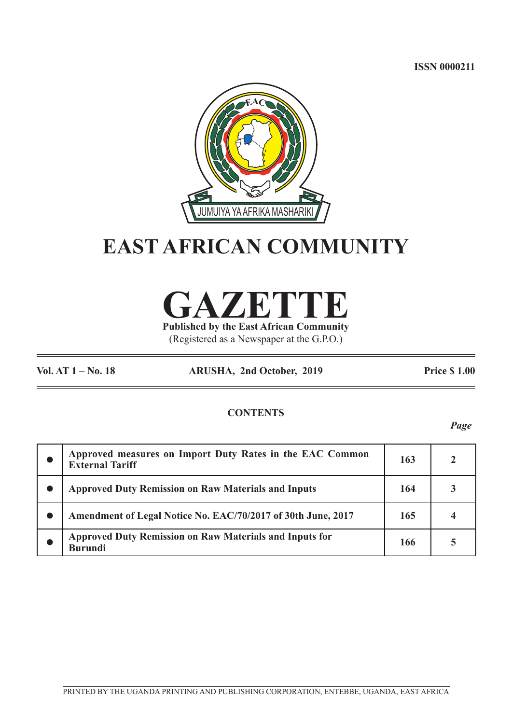**ISSN 0000211**



# **EAST AFRICAN COMMUNITY**

**GAZETTE**

**Published by the East African Community** (Registered as a Newspaper at the G.P.O.)

**Vol. AT 1 – No. 18 ARUSHA, 2nd October, 2019 Price \$ 1.00**

## **CONTENTS**

*Page*

| Approved measures on Import Duty Rates in the EAC Common<br><b>External Tariff</b> | 163 |  |
|------------------------------------------------------------------------------------|-----|--|
| <b>Approved Duty Remission on Raw Materials and Inputs</b>                         | 164 |  |
| Amendment of Legal Notice No. EAC/70/2017 of 30th June, 2017                       | 165 |  |
| <b>Approved Duty Remission on Raw Materials and Inputs for</b><br><b>Burundi</b>   | 166 |  |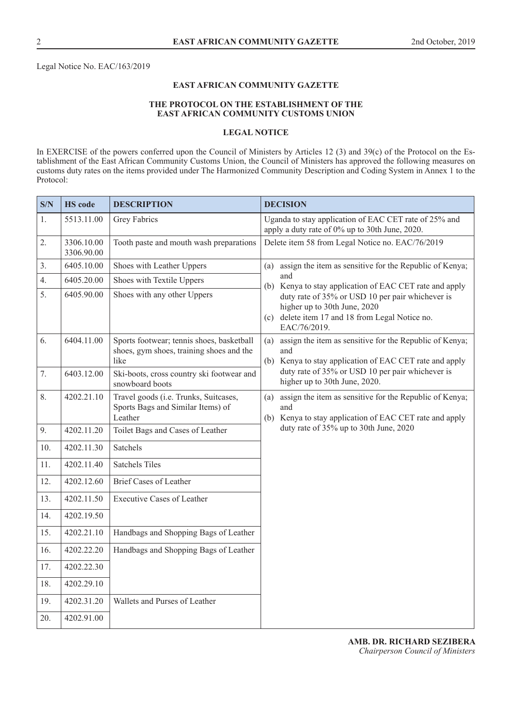Legal Notice No. EAC/163/2019

## **EAST AFRICAN COMMUNITY GAZETTE**

## **THE PROTOCOL ON THE ESTABLISHMENT OF THE EAST AFRICAN COMMUNITY CUSTOMS UNION**

#### **LEGAL NOTICE**

In EXERCISE of the powers conferred upon the Council of Ministers by Articles 12 (3) and 39(c) of the Protocol on the Establishment of the East African Community Customs Union, the Council of Ministers has approved the following measures on customs duty rates on the items provided under The Harmonized Community Description and Coding System in Annex 1 to the Protocol:

| S/N | <b>HS</b> code           | <b>DESCRIPTION</b>                                                                            | <b>DECISION</b>                                                                                                                                     |  |  |
|-----|--------------------------|-----------------------------------------------------------------------------------------------|-----------------------------------------------------------------------------------------------------------------------------------------------------|--|--|
| 1.  | 5513.11.00               | Grey Fabrics                                                                                  | Uganda to stay application of EAC CET rate of 25% and<br>apply a duty rate of 0% up to 30th June, 2020.                                             |  |  |
| 2.  | 3306.10.00<br>3306.90.00 | Tooth paste and mouth wash preparations                                                       | Delete item 58 from Legal Notice no. EAC/76/2019                                                                                                    |  |  |
| 3.  | 6405.10.00               | Shoes with Leather Uppers                                                                     | assign the item as sensitive for the Republic of Kenya;<br>(a)                                                                                      |  |  |
| 4.  | 6405.20.00               | Shoes with Textile Uppers                                                                     | and<br>Kenya to stay application of EAC CET rate and apply<br>(b)                                                                                   |  |  |
| 5.  | 6405.90.00               | Shoes with any other Uppers                                                                   | duty rate of 35% or USD 10 per pair whichever is<br>higher up to 30th June, 2020<br>(c) delete item 17 and 18 from Legal Notice no.<br>EAC/76/2019. |  |  |
| 6.  | 6404.11.00               | Sports footwear; tennis shoes, basketball<br>shoes, gym shoes, training shoes and the<br>like | assign the item as sensitive for the Republic of Kenya;<br>(a)<br>and<br>(b) Kenya to stay application of EAC CET rate and apply                    |  |  |
| 7.  | 6403.12.00               | Ski-boots, cross country ski footwear and<br>snowboard boots                                  | duty rate of 35% or USD 10 per pair whichever is<br>higher up to 30th June, 2020.                                                                   |  |  |
| 8.  | 4202.21.10               | Travel goods (i.e. Trunks, Suitcases,<br>Sports Bags and Similar Items) of<br>Leather         | assign the item as sensitive for the Republic of Kenya;<br>(a)<br>and<br>Kenya to stay application of EAC CET rate and apply<br>(b)                 |  |  |
| 9.  | 4202.11.20               | Toilet Bags and Cases of Leather                                                              | duty rate of 35% up to 30th June, 2020                                                                                                              |  |  |
| 10. | 4202.11.30               | Satchels                                                                                      |                                                                                                                                                     |  |  |
| 11. | 4202.11.40               | <b>Satchels Tiles</b>                                                                         |                                                                                                                                                     |  |  |
| 12. | 4202.12.60               | <b>Brief Cases of Leather</b>                                                                 |                                                                                                                                                     |  |  |
| 13. | 4202.11.50               | <b>Executive Cases of Leather</b>                                                             |                                                                                                                                                     |  |  |
| 14. | 4202.19.50               |                                                                                               |                                                                                                                                                     |  |  |
| 15. | 4202.21.10               | Handbags and Shopping Bags of Leather                                                         |                                                                                                                                                     |  |  |
| 16. | 4202.22.20               | Handbags and Shopping Bags of Leather                                                         |                                                                                                                                                     |  |  |
| 17. | 4202.22.30               |                                                                                               |                                                                                                                                                     |  |  |
| 18. | 4202.29.10               |                                                                                               |                                                                                                                                                     |  |  |
| 19. | 4202.31.20               | Wallets and Purses of Leather                                                                 |                                                                                                                                                     |  |  |
| 20. | 4202.91.00               |                                                                                               |                                                                                                                                                     |  |  |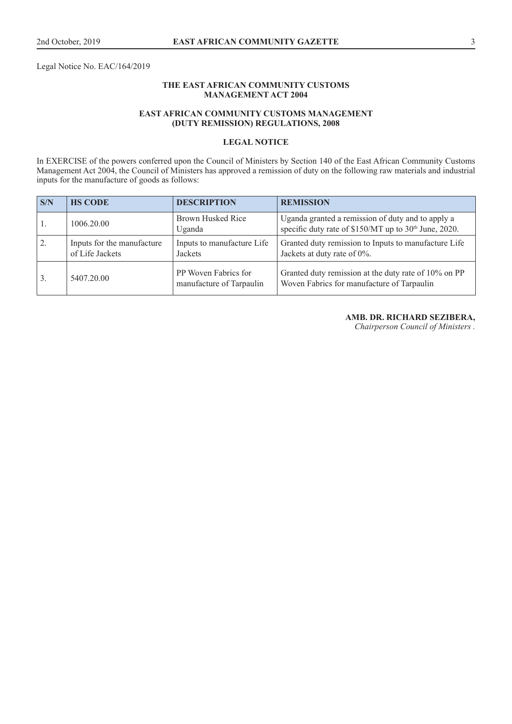Legal Notice No. EAC/164/2019

## **THE EAST AFRICAN COMMUNITY CUSTOMS MANAGEMENT ACT 2004**

## **EAST AFRICAN COMMUNITY CUSTOMS MANAGEMENT (DUTY REMISSION) REGULATIONS, 2008**

## **LEGAL NOTICE**

In EXERCISE of the powers conferred upon the Council of Ministers by Section 140 of the East African Community Customs Management Act 2004, the Council of Ministers has approved a remission of duty on the following raw materials and industrial inputs for the manufacture of goods as follows:

| $\mathbf{S/N}$ | <b>HS CODE</b>                                | <b>DESCRIPTION</b>                               | <b>REMISSION</b>                                                                                                       |
|----------------|-----------------------------------------------|--------------------------------------------------|------------------------------------------------------------------------------------------------------------------------|
|                | 1006.20.00                                    | Brown Husked Rice<br>Uganda                      | Uganda granted a remission of duty and to apply a<br>specific duty rate of \$150/MT up to 30 <sup>th</sup> June, 2020. |
| 2.             | Inputs for the manufacture<br>of Life Jackets | Inputs to manufacture Life<br>Jackets            | Granted duty remission to Inputs to manufacture Life<br>Jackets at duty rate of 0%.                                    |
| 3.             | 5407.20.00                                    | PP Woven Fabrics for<br>manufacture of Tarpaulin | Granted duty remission at the duty rate of 10% on PP<br>Woven Fabrics for manufacture of Tarpaulin                     |

## **AMB. DR. RICHARD SEZIBERA,**

*Chairperson Council of Ministers .*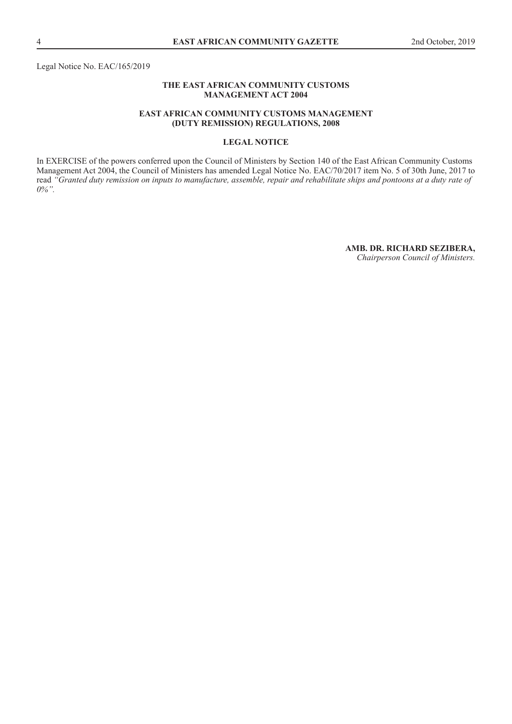Legal Notice No. EAC/165/2019

## **THE EAST AFRICAN COMMUNITY CUSTOMS MANAGEMENT ACT 2004**

## **EAST AFRICAN COMMUNITY CUSTOMS MANAGEMENT (DUTY REMISSION) REGULATIONS, 2008**

## **LEGAL NOTICE**

In EXERCISE of the powers conferred upon the Council of Ministers by Section 140 of the East African Community Customs Management Act 2004, the Council of Ministers has amended Legal Notice No. EAC/70/2017 item No. 5 of 30th June, 2017 to read *"Granted duty remission on inputs to manufacture, assemble, repair and rehabilitate ships and pontoons at a duty rate of 0%".* 

> **AMB. DR. RICHARD SEZIBERA,** *Chairperson Council of Ministers.*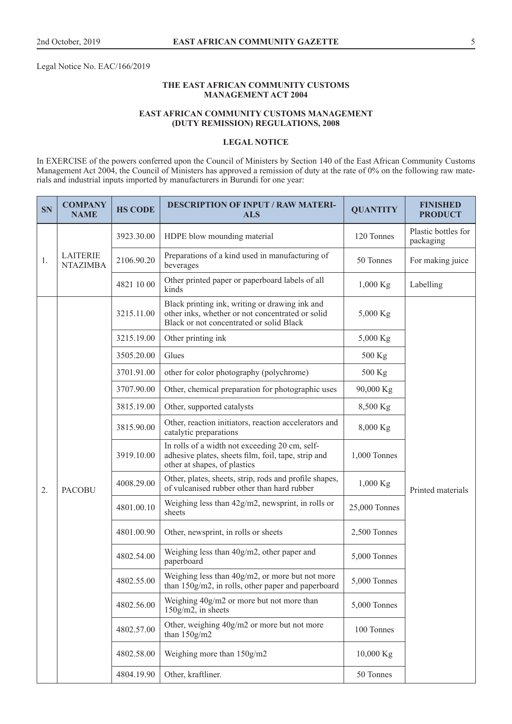Legal Notice No. EAC/166/2019

## **THE EAST AFRICAN COMMUNITY CUSTOMS MANAGEMENT ACT 2004**

## **EAST AFRICAN COMMUNITY CUSTOMS MANAGEMENT (DUTY REMISSION) REGULATIONS, 2008**

## **LEGAL NOTICE**

In EXERCISE of the powers conferred upon the Council of Ministers by Section 140 of the East African Community Customs Management Act 2004, the Council of Ministers has approved a remission of duty at the rate of 0% on the following raw materials and industrial inputs imported by manufacturers in Burundi for one year:

| <b>SN</b> | <b>COMPANY</b><br><b>NAME</b>      | <b>HS CODE</b> | <b>DESCRIPTION OF INPUT / RAW MATERI-</b><br><b>ALS</b>                                                                                        | <b>QUANTITY</b>                                                                                       | <b>FINISHED</b><br><b>PRODUCT</b> |                   |
|-----------|------------------------------------|----------------|------------------------------------------------------------------------------------------------------------------------------------------------|-------------------------------------------------------------------------------------------------------|-----------------------------------|-------------------|
| 1.        | <b>LAITERIE</b><br><b>NTAZIMBA</b> | 3923.30.00     | HDPE blow mounding material                                                                                                                    | 120 Tonnes                                                                                            | Plastic bottles for<br>packaging  |                   |
|           |                                    | 2106.90.20     | Preparations of a kind used in manufacturing of<br>beverages                                                                                   | 50 Tonnes                                                                                             | For making juice                  |                   |
|           |                                    | 4821 10 00     | Other printed paper or paperboard labels of all<br>kinds                                                                                       | $1,000$ Kg                                                                                            | Labelling                         |                   |
|           |                                    | 3215.11.00     | Black printing ink, writing or drawing ink and<br>other inks, whether or not concentrated or solid<br>Black or not concentrated or solid Black | 5,000 Kg                                                                                              |                                   |                   |
|           |                                    | 3215.19.00     | Other printing ink                                                                                                                             | 5,000 Kg                                                                                              |                                   |                   |
|           |                                    | 3505.20.00     | Glues                                                                                                                                          | 500 Kg                                                                                                |                                   |                   |
|           |                                    | 3701.91.00     | other for color photography (polychrome)                                                                                                       | 500 Kg                                                                                                |                                   |                   |
|           |                                    | 3707.90.00     | Other, chemical preparation for photographic uses                                                                                              | 90,000 Kg                                                                                             |                                   |                   |
| 2.        |                                    | 3815.19.00     | Other, supported catalysts                                                                                                                     | 8,500 Kg                                                                                              |                                   |                   |
|           |                                    | 3815.90.00     | Other, reaction initiators, reaction accelerators and<br>catalytic preparations                                                                | 8,000 Kg                                                                                              |                                   |                   |
|           |                                    | 3919.10.00     | In rolls of a width not exceeding 20 cm, self-<br>adhesive plates, sheets film, foil, tape, strip and<br>other at shapes, of plastics          | 1,000 Tonnes                                                                                          |                                   |                   |
|           |                                    | <b>PACOBU</b>  | 4008.29.00                                                                                                                                     | Other, plates, sheets, strip, rods and profile shapes,<br>of vulcanised rubber other than hard rubber | $1,000$ Kg                        | Printed materials |
|           |                                    | 4801.00.10     | Weighing less than $42g/m2$ , newsprint, in rolls or<br>sheets                                                                                 | 25,000 Tonnes                                                                                         |                                   |                   |
|           |                                    | 4801.00.90     | Other, newsprint, in rolls or sheets                                                                                                           | 2,500 Tonnes                                                                                          |                                   |                   |
|           |                                    | 4802.54.00     | Weighing less than 40g/m2, other paper and<br>paperboard                                                                                       | 5,000 Tonnes                                                                                          |                                   |                   |
|           |                                    | 4802.55.00     | Weighing less than 40g/m2, or more but not more<br>than 150g/m2, in rolls, other paper and paperboard                                          | 5,000 Tonnes                                                                                          |                                   |                   |
|           |                                    | 4802.56.00     | Weighing 40g/m2 or more but not more than<br>$150$ g/m2, in sheets                                                                             | 5,000 Tonnes                                                                                          |                                   |                   |
|           |                                    | 4802.57.00     | Other, weighing 40g/m2 or more but not more<br>than $150g/m2$                                                                                  | 100 Tonnes                                                                                            |                                   |                   |
|           |                                    | 4802.58.00     | Weighing more than 150g/m2                                                                                                                     | 10,000 Kg                                                                                             |                                   |                   |
|           |                                    | 4804.19.90     | Other, kraftliner.                                                                                                                             | 50 Tonnes                                                                                             |                                   |                   |